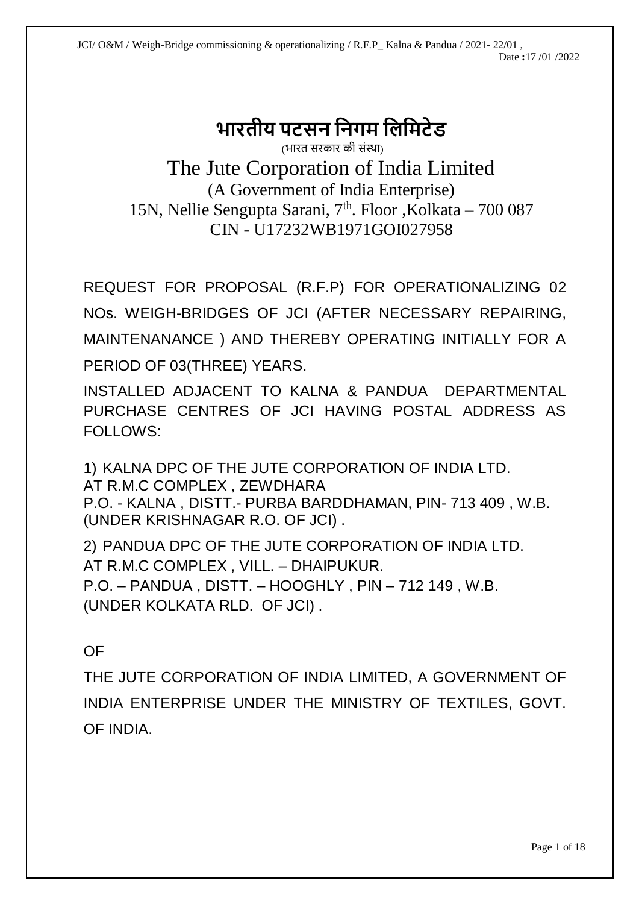# **भारतीय पटसन ननगम निनमटेड** (भारत सरकार की संस्था)

The Jute Corporation of India Limited (A Government of India Enterprise) 15N, Nellie Sengupta Sarani, 7<sup>th</sup>. Floor , Kolkata - 700 087 CIN - U17232WB1971GOI027958

REQUEST FOR PROPOSAL (R.F.P) FOR OPERATIONALIZING 02 NOs. WEIGH-BRIDGES OF JCI (AFTER NECESSARY REPAIRING, MAINTENANANCE ) AND THEREBY OPERATING INITIALLY FOR A PERIOD OF 03(THREE) YEARS.

INSTALLED ADJACENT TO KALNA & PANDUA DEPARTMENTAL PURCHASE CENTRES OF JCI HAVING POSTAL ADDRESS AS FOLLOWS:

1) KALNA DPC OF THE JUTE CORPORATION OF INDIA LTD. AT R.M.C COMPLEX , ZEWDHARA P.O. - KALNA , DISTT.- PURBA BARDDHAMAN, PIN- 713 409 , W.B. (UNDER KRISHNAGAR R.O. OF JCI) .

2) PANDUA DPC OF THE JUTE CORPORATION OF INDIA LTD. AT R.M.C COMPLEX , VILL. – DHAIPUKUR. P.O. – PANDUA , DISTT. – HOOGHLY , PIN – 712 149 , W.B. (UNDER KOLKATA RLD. OF JCI) .

# OF

THE JUTE CORPORATION OF INDIA LIMITED, A GOVERNMENT OF INDIA ENTERPRISE UNDER THE MINISTRY OF TEXTILES, GOVT. OF INDIA.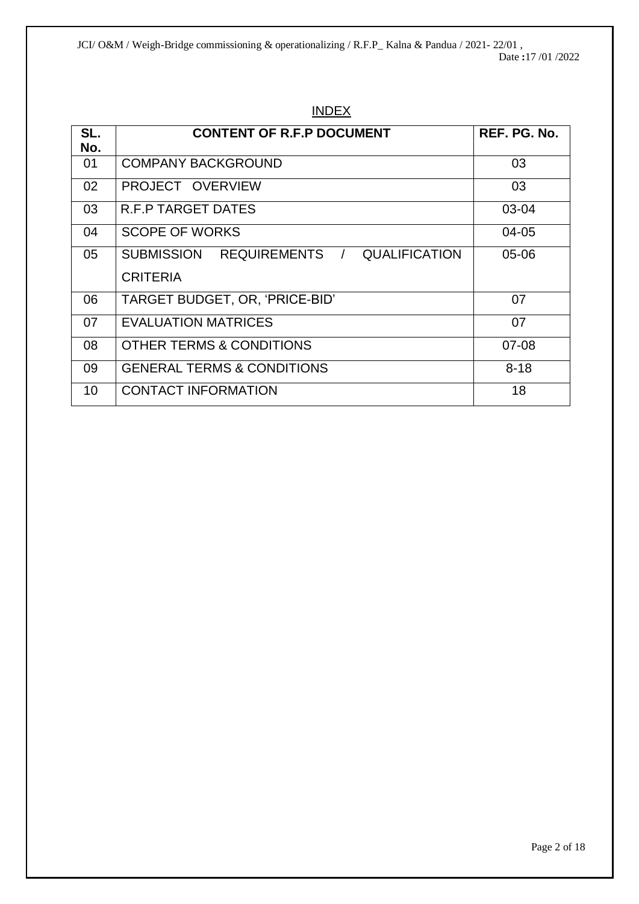JCI/ O&M / Weigh-Bridge commissioning & operationalizing / R.F.P\_ Kalna & Pandua / 2021- 22/01 , Date **:**17 /01 /2022

| SL. | <b>CONTENT OF R.F.P DOCUMENT</b>        | REF. PG. No. |
|-----|-----------------------------------------|--------------|
| No. |                                         |              |
| 01  | <b>COMPANY BACKGROUND</b>               | 03           |
| 02  | PROJECT OVERVIEW                        | 03           |
| 03  | <b>R.F.P TARGET DATES</b>               | 03-04        |
| 04  | <b>SCOPE OF WORKS</b>                   | 04-05        |
| 05  | SUBMISSION REQUIREMENTS / QUALIFICATION | 05-06        |
|     | <b>CRITERIA</b>                         |              |
| 06  | TARGET BUDGET, OR, 'PRICE-BID'          | 07           |
| 07  | <b>EVALUATION MATRICES</b>              | 07           |
| 08  | OTHER TERMS & CONDITIONS                | $07 - 08$    |
| 09  | <b>GENERAL TERMS &amp; CONDITIONS</b>   | $8 - 18$     |
| 10  | <b>CONTACT INFORMATION</b>              | 18           |

# INDEX

Page 2 of 18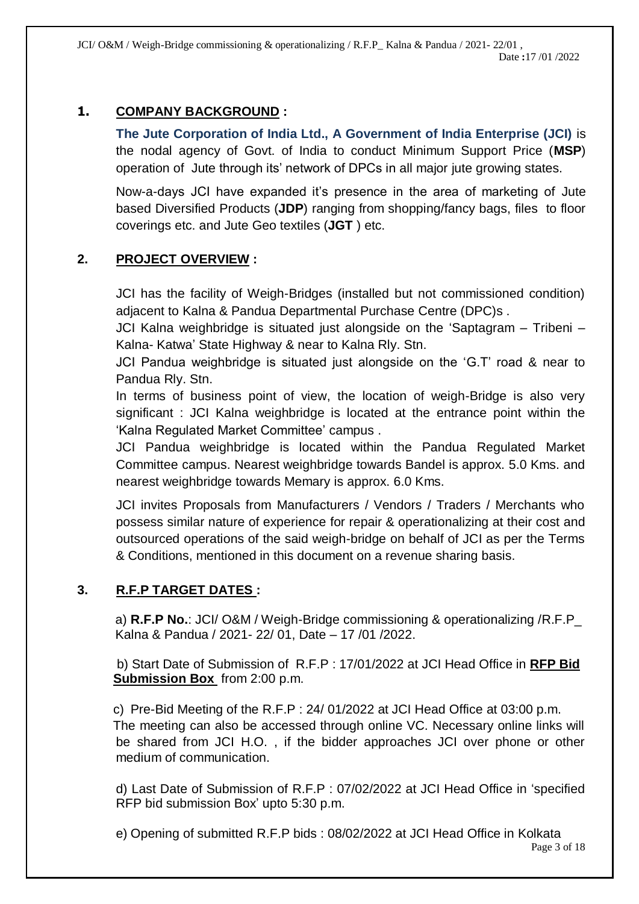JCI/ O&M / Weigh-Bridge commissioning & operationalizing / R.F.P\_ Kalna & Pandua / 2021- 22/01 , Date **:**17 /01 /2022

# **1. COMPANY BACKGROUND :**

**The Jute Corporation of India Ltd., A Government of India Enterprise (JCI)** is the nodal agency of Govt. of India to conduct Minimum Support Price (**MSP**) operation of Jute through its' network of DPCs in all major jute growing states.

Now-a-days JCI have expanded it's presence in the area of marketing of Jute based Diversified Products (**JDP**) ranging from shopping/fancy bags, files to floor coverings etc. and Jute Geo textiles (**JGT** ) etc.

# **2. PROJECT OVERVIEW :**

JCI has the facility of Weigh-Bridges (installed but not commissioned condition) adjacent to Kalna & Pandua Departmental Purchase Centre (DPC)s .

JCI Kalna weighbridge is situated just alongside on the 'Saptagram – Tribeni – Kalna- Katwa' State Highway & near to Kalna Rly. Stn.

JCI Pandua weighbridge is situated just alongside on the 'G.T' road & near to Pandua Rly. Stn.

In terms of business point of view, the location of weigh-Bridge is also very significant : JCI Kalna weighbridge is located at the entrance point within the 'Kalna Regulated Market Committee' campus .

JCI Pandua weighbridge is located within the Pandua Regulated Market Committee campus. Nearest weighbridge towards Bandel is approx. 5.0 Kms. and nearest weighbridge towards Memary is approx. 6.0 Kms.

JCI invites Proposals from Manufacturers / Vendors / Traders / Merchants who possess similar nature of experience for repair & operationalizing at their cost and outsourced operations of the said weigh-bridge on behalf of JCI as per the Terms & Conditions, mentioned in this document on a revenue sharing basis.

# **3. R.F.P TARGET DATES :**

a) **R.F.P No.**: JCI/ O&M / Weigh-Bridge commissioning & operationalizing /R.F.P\_ Kalna & Pandua / 2021- 22/ 01, Date – 17 /01 /2022.

 b) Start Date of Submission of R.F.P : 17/01/2022 at JCI Head Office in **RFP Bid Submission Box** from 2:00 p.m.

 c) Pre-Bid Meeting of the R.F.P : 24/ 01/2022 at JCI Head Office at 03:00 p.m. The meeting can also be accessed through online VC. Necessary online links will be shared from JCI H.O. , if the bidder approaches JCI over phone or other medium of communication.

d) Last Date of Submission of R.F.P : 07/02/2022 at JCI Head Office in 'specified RFP bid submission Box' upto 5:30 p.m.

Page 3 of 18 e) Opening of submitted R.F.P bids : 08/02/2022 at JCI Head Office in Kolkata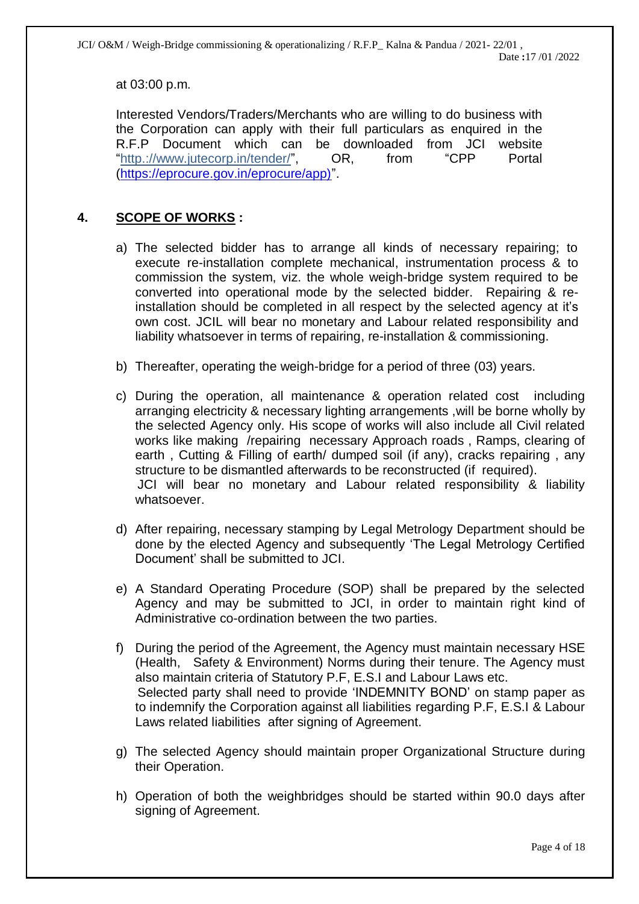at 03:00 p.m.

Interested Vendors/Traders/Merchants who are willing to do business with the Corporation can apply with their full particulars as enquired in the R.F.P Document which can be downloaded from JCI website "http.://www.jutecorp.in/tender/", OR, from "CPP Portal [\(https://eprocure.gov.in/eprocure/app\)"](https://eprocure.gov.in/eprocure/app)).

### **4. SCOPE OF WORKS :**

- a) The selected bidder has to arrange all kinds of necessary repairing; to execute re-installation complete mechanical, instrumentation process & to commission the system, viz. the whole weigh-bridge system required to be converted into operational mode by the selected bidder. Repairing & reinstallation should be completed in all respect by the selected agency at it's own cost. JCIL will bear no monetary and Labour related responsibility and liability whatsoever in terms of repairing, re-installation & commissioning.
- b) Thereafter, operating the weigh-bridge for a period of three (03) years.
- c) During the operation, all maintenance & operation related cost including arranging electricity & necessary lighting arrangements ,will be borne wholly by the selected Agency only. His scope of works will also include all Civil related works like making /repairing necessary Approach roads , Ramps, clearing of earth , Cutting & Filling of earth/ dumped soil (if any), cracks repairing , any structure to be dismantled afterwards to be reconstructed (if required). JCI will bear no monetary and Labour related responsibility & liability whatsoever.
- d) After repairing, necessary stamping by Legal Metrology Department should be done by the elected Agency and subsequently 'The Legal Metrology Certified Document' shall be submitted to JCI.
- e) A Standard Operating Procedure (SOP) shall be prepared by the selected Agency and may be submitted to JCI, in order to maintain right kind of Administrative co-ordination between the two parties.
- f) During the period of the Agreement, the Agency must maintain necessary HSE (Health, Safety & Environment) Norms during their tenure. The Agency must also maintain criteria of Statutory P.F, E.S.I and Labour Laws etc. Selected party shall need to provide 'INDEMNITY BOND' on stamp paper as to indemnify the Corporation against all liabilities regarding P.F, E.S.I & Labour Laws related liabilities after signing of Agreement.
- g) The selected Agency should maintain proper Organizational Structure during their Operation.
- h) Operation of both the weighbridges should be started within 90.0 days after signing of Agreement.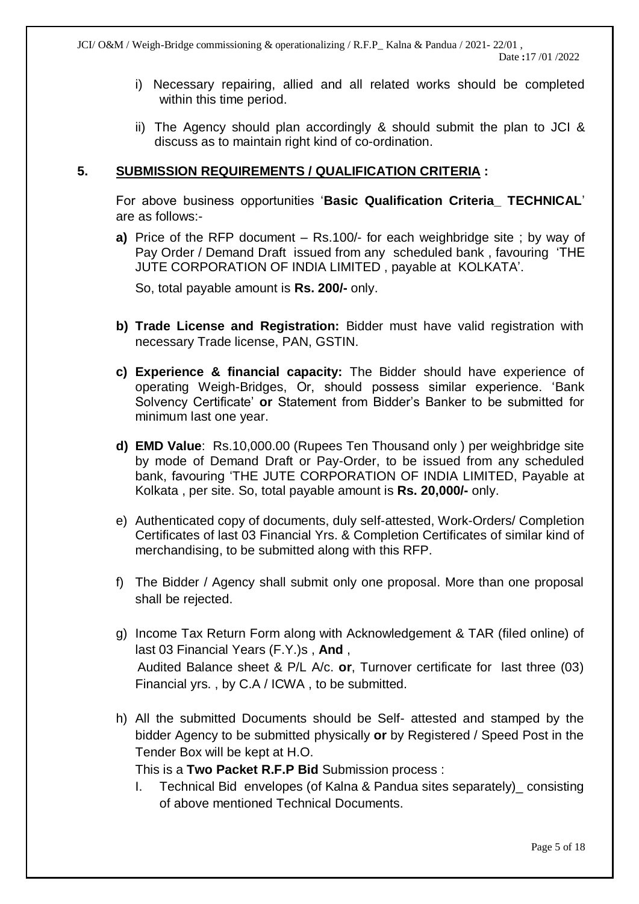- i) Necessary repairing, allied and all related works should be completed within this time period.
- ii) The Agency should plan accordingly & should submit the plan to JCI & discuss as to maintain right kind of co-ordination.

#### **5. SUBMISSION REQUIREMENTS / QUALIFICATION CRITERIA :**

For above business opportunities '**Basic Qualification Criteria\_ TECHNICAL**' are as follows:-

**a)** Price of the RFP document – Rs.100/- for each weighbridge site ; by way of Pay Order / Demand Draft issued from any scheduled bank , favouring 'THE JUTE CORPORATION OF INDIA LIMITED , payable at KOLKATA'.

So, total payable amount is **Rs. 200/-** only.

- **b) Trade License and Registration:** Bidder must have valid registration with necessary Trade license, PAN, GSTIN.
- **c) Experience & financial capacity:** The Bidder should have experience of operating Weigh-Bridges, Or, should possess similar experience. 'Bank Solvency Certificate' **or** Statement from Bidder's Banker to be submitted for minimum last one year.
- **d) EMD Value**: Rs.10,000.00 (Rupees Ten Thousand only ) per weighbridge site by mode of Demand Draft or Pay-Order, to be issued from any scheduled bank, favouring 'THE JUTE CORPORATION OF INDIA LIMITED, Payable at Kolkata , per site. So, total payable amount is **Rs. 20,000/-** only.
- e) Authenticated copy of documents, duly self-attested, Work-Orders/ Completion Certificates of last 03 Financial Yrs. & Completion Certificates of similar kind of merchandising, to be submitted along with this RFP.
- f) The Bidder / Agency shall submit only one proposal. More than one proposal shall be rejected.
- g) Income Tax Return Form along with Acknowledgement & TAR (filed online) of last 03 Financial Years (F.Y.)s , **And** , Audited Balance sheet & P/L A/c. **or**, Turnover certificate for last three (03) Financial yrs. , by C.A / ICWA , to be submitted.
- h) All the submitted Documents should be Self- attested and stamped by the bidder Agency to be submitted physically **or** by Registered / Speed Post in the Tender Box will be kept at H.O.

This is a **Two Packet R.F.P Bid** Submission process :

I. Technical Bid envelopes (of Kalna & Pandua sites separately)\_ consisting of above mentioned Technical Documents.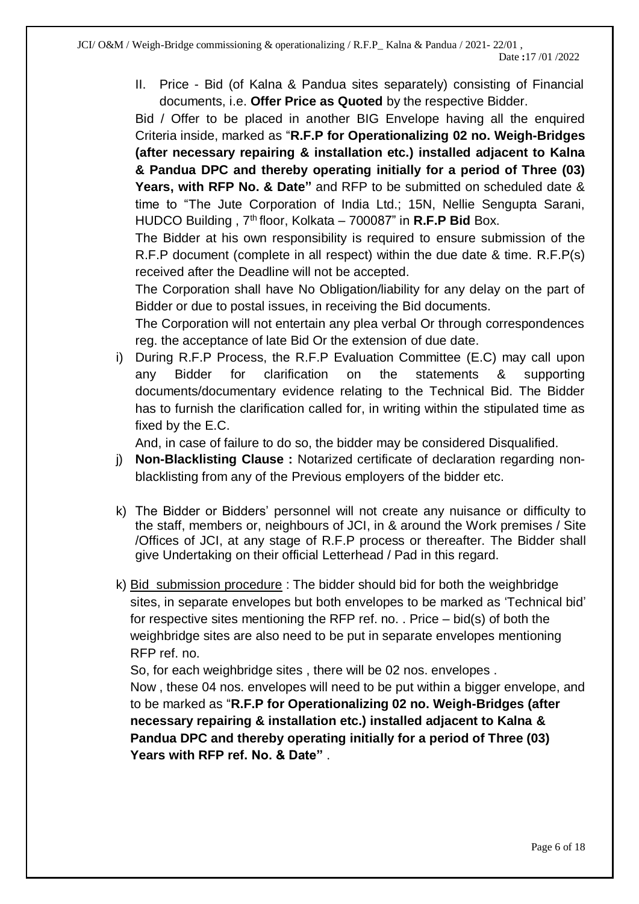II. Price - Bid (of Kalna & Pandua sites separately) consisting of Financial documents, i.e. **Offer Price as Quoted** by the respective Bidder.

Bid / Offer to be placed in another BIG Envelope having all the enquired Criteria inside, marked as "**R.F.P for Operationalizing 02 no. Weigh-Bridges (after necessary repairing & installation etc.) installed adjacent to Kalna & Pandua DPC and thereby operating initially for a period of Three (03) Years, with RFP No. & Date"** and RFP to be submitted on scheduled date & time to "The Jute Corporation of India Ltd.; 15N, Nellie Sengupta Sarani, HUDCO Building , 7th floor, Kolkata – 700087" in **R.F.P Bid** Box.

The Bidder at his own responsibility is required to ensure submission of the R.F.P document (complete in all respect) within the due date & time. R.F.P(s) received after the Deadline will not be accepted.

The Corporation shall have No Obligation/liability for any delay on the part of Bidder or due to postal issues, in receiving the Bid documents.

The Corporation will not entertain any plea verbal Or through correspondences reg. the acceptance of late Bid Or the extension of due date.

i) During R.F.P Process, the R.F.P Evaluation Committee (E.C) may call upon any Bidder for clarification on the statements & supporting documents/documentary evidence relating to the Technical Bid. The Bidder has to furnish the clarification called for, in writing within the stipulated time as fixed by the E.C.

And, in case of failure to do so, the bidder may be considered Disqualified.

- j) **Non-Blacklisting Clause :** Notarized certificate of declaration regarding nonblacklisting from any of the Previous employers of the bidder etc.
- k) The Bidder or Bidders' personnel will not create any nuisance or difficulty to the staff, members or, neighbours of JCI, in & around the Work premises / Site /Offices of JCI, at any stage of R.F.P process or thereafter. The Bidder shall give Undertaking on their official Letterhead / Pad in this regard.
- k) Bid submission procedure : The bidder should bid for both the weighbridge sites, in separate envelopes but both envelopes to be marked as 'Technical bid' for respective sites mentioning the RFP ref. no. . Price – bid(s) of both the weighbridge sites are also need to be put in separate envelopes mentioning RFP ref. no.

So, for each weighbridge sites , there will be 02 nos. envelopes .

 Now , these 04 nos. envelopes will need to be put within a bigger envelope, and to be marked as "**R.F.P for Operationalizing 02 no. Weigh-Bridges (after necessary repairing & installation etc.) installed adjacent to Kalna & Pandua DPC and thereby operating initially for a period of Three (03) Years with RFP ref. No. & Date"** .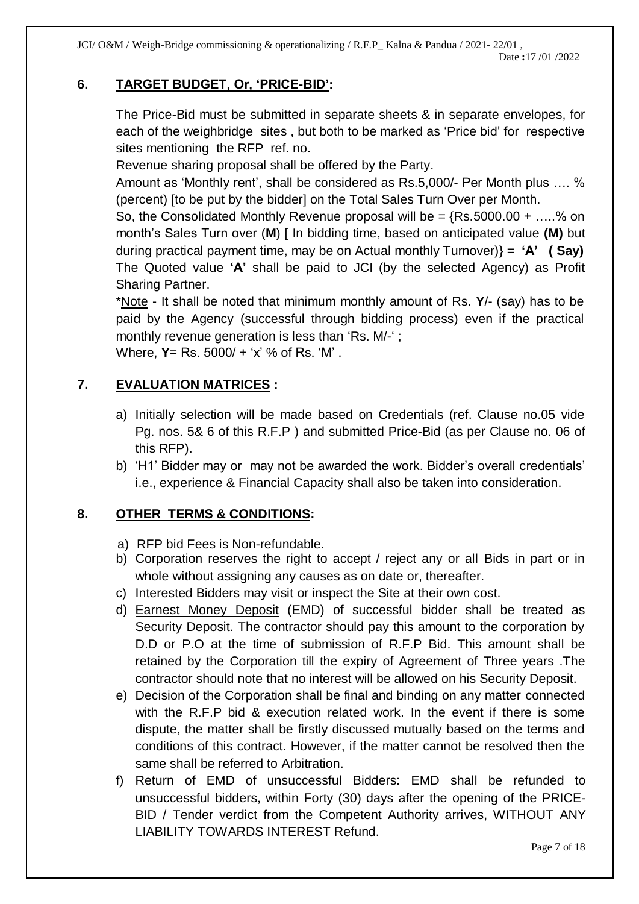JCI/ O&M / Weigh-Bridge commissioning & operationalizing / R.F.P\_ Kalna & Pandua / 2021- 22/01 ,

# **6. TARGET BUDGET, Or, 'PRICE-BID':**

The Price-Bid must be submitted in separate sheets & in separate envelopes, for each of the weighbridge sites , but both to be marked as 'Price bid' for respective sites mentioning the RFP ref. no.

Revenue sharing proposal shall be offered by the Party.

Amount as 'Monthly rent', shall be considered as Rs.5,000/- Per Month plus …. % (percent) [to be put by the bidder] on the Total Sales Turn Over per Month.

So, the Consolidated Monthly Revenue proposal will be  $=$  {Rs.5000.00 + .....% on month's Sales Turn over (**M**) [ In bidding time, based on anticipated value **(M)** but during practical payment time, may be on Actual monthly Turnover)} = **'A' ( Say)** The Quoted value **'A'** shall be paid to JCI (by the selected Agency) as Profit Sharing Partner.

\*Note - It shall be noted that minimum monthly amount of Rs. **Y**/- (say) has to be paid by the Agency (successful through bidding process) even if the practical monthly revenue generation is less than 'Rs. M/-' ; Where, **Y**= Rs. 5000/ + 'x' % of Rs. 'M' .

# **7. EVALUATION MATRICES :**

- a) Initially selection will be made based on Credentials (ref. Clause no.05 vide Pg. nos. 5& 6 of this R.F.P ) and submitted Price-Bid (as per Clause no. 06 of this RFP).
- b) 'H1' Bidder may or may not be awarded the work. Bidder's overall credentials' i.e., experience & Financial Capacity shall also be taken into consideration.

# **8. OTHER TERMS & CONDITIONS:**

- a) RFP bid Fees is Non-refundable.
- b) Corporation reserves the right to accept / reject any or all Bids in part or in whole without assigning any causes as on date or, thereafter.
- c) Interested Bidders may visit or inspect the Site at their own cost.
- d) Earnest Money Deposit (EMD) of successful bidder shall be treated as Security Deposit. The contractor should pay this amount to the corporation by D.D or P.O at the time of submission of R.F.P Bid. This amount shall be retained by the Corporation till the expiry of Agreement of Three years .The contractor should note that no interest will be allowed on his Security Deposit.
- e) Decision of the Corporation shall be final and binding on any matter connected with the R.F.P bid & execution related work. In the event if there is some dispute, the matter shall be firstly discussed mutually based on the terms and conditions of this contract. However, if the matter cannot be resolved then the same shall be referred to Arbitration.
- f) Return of EMD of unsuccessful Bidders: EMD shall be refunded to unsuccessful bidders, within Forty (30) days after the opening of the PRICE-BID / Tender verdict from the Competent Authority arrives, WITHOUT ANY LIABILITY TOWARDS INTEREST Refund.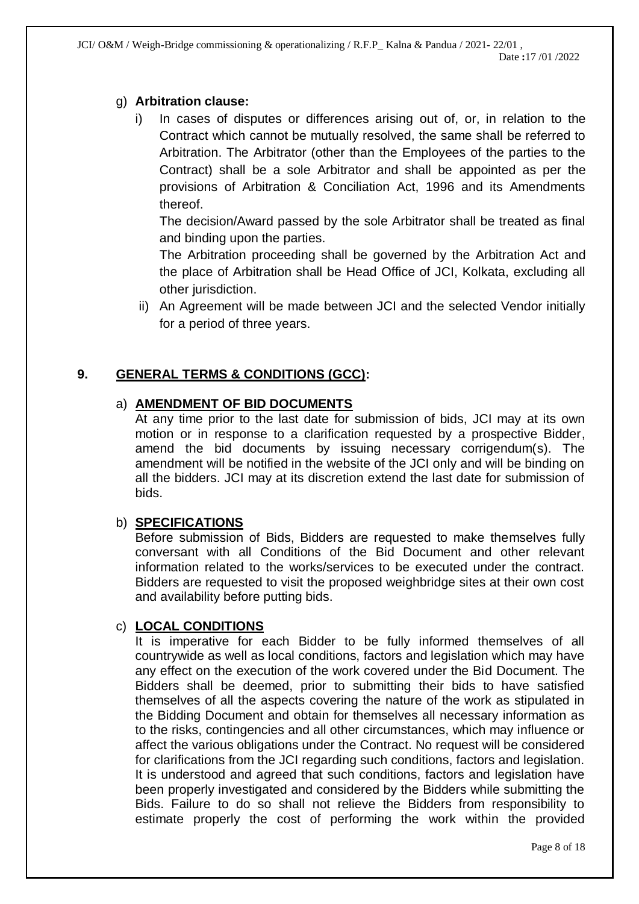# g) **Arbitration clause:**

i) In cases of disputes or differences arising out of, or, in relation to the Contract which cannot be mutually resolved, the same shall be referred to Arbitration. The Arbitrator (other than the Employees of the parties to the Contract) shall be a sole Arbitrator and shall be appointed as per the provisions of Arbitration & Conciliation Act, 1996 and its Amendments thereof.

The decision/Award passed by the sole Arbitrator shall be treated as final and binding upon the parties.

The Arbitration proceeding shall be governed by the Arbitration Act and the place of Arbitration shall be Head Office of JCI, Kolkata, excluding all other jurisdiction.

ii) An Agreement will be made between JCI and the selected Vendor initially for a period of three years.

# **9. GENERAL TERMS & CONDITIONS (GCC):**

# a) **AMENDMENT OF BID DOCUMENTS**

At any time prior to the last date for submission of bids, JCI may at its own motion or in response to a clarification requested by a prospective Bidder, amend the bid documents by issuing necessary corrigendum(s). The amendment will be notified in the website of the JCI only and will be binding on all the bidders. JCI may at its discretion extend the last date for submission of bids.

# b) **SPECIFICATIONS**

Before submission of Bids, Bidders are requested to make themselves fully conversant with all Conditions of the Bid Document and other relevant information related to the works/services to be executed under the contract. Bidders are requested to visit the proposed weighbridge sites at their own cost and availability before putting bids.

# c) **LOCAL CONDITIONS**

It is imperative for each Bidder to be fully informed themselves of all countrywide as well as local conditions, factors and legislation which may have any effect on the execution of the work covered under the Bid Document. The Bidders shall be deemed, prior to submitting their bids to have satisfied themselves of all the aspects covering the nature of the work as stipulated in the Bidding Document and obtain for themselves all necessary information as to the risks, contingencies and all other circumstances, which may influence or affect the various obligations under the Contract. No request will be considered for clarifications from the JCI regarding such conditions, factors and legislation. It is understood and agreed that such conditions, factors and legislation have been properly investigated and considered by the Bidders while submitting the Bids. Failure to do so shall not relieve the Bidders from responsibility to estimate properly the cost of performing the work within the provided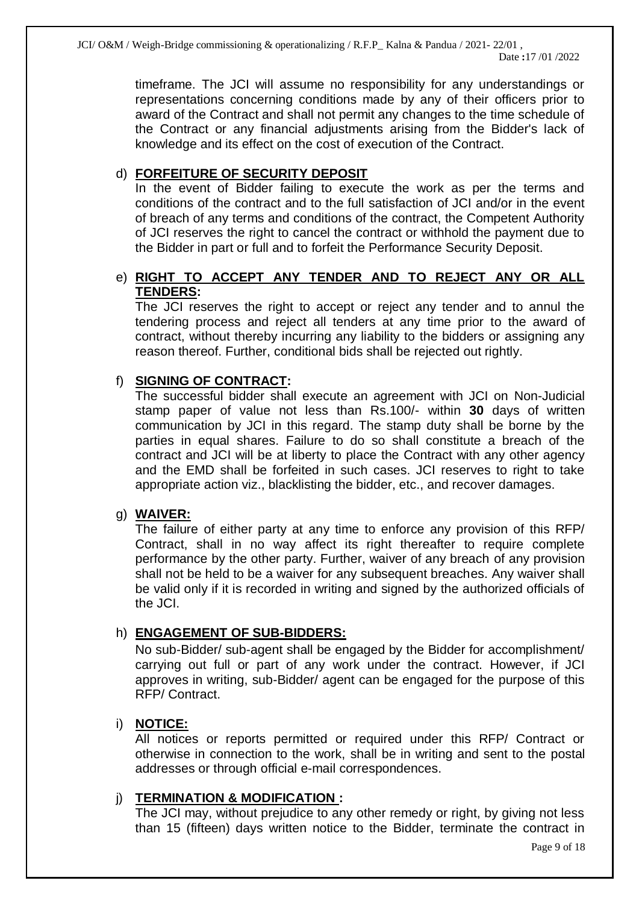timeframe. The JCI will assume no responsibility for any understandings or representations concerning conditions made by any of their officers prior to award of the Contract and shall not permit any changes to the time schedule of the Contract or any financial adjustments arising from the Bidder's lack of knowledge and its effect on the cost of execution of the Contract.

# d) **FORFEITURE OF SECURITY DEPOSIT**

In the event of Bidder failing to execute the work as per the terms and conditions of the contract and to the full satisfaction of JCI and/or in the event of breach of any terms and conditions of the contract, the Competent Authority of JCI reserves the right to cancel the contract or withhold the payment due to the Bidder in part or full and to forfeit the Performance Security Deposit.

# e) **RIGHT TO ACCEPT ANY TENDER AND TO REJECT ANY OR ALL TENDERS:**

The JCI reserves the right to accept or reject any tender and to annul the tendering process and reject all tenders at any time prior to the award of contract, without thereby incurring any liability to the bidders or assigning any reason thereof. Further, conditional bids shall be rejected out rightly.

# f) **SIGNING OF CONTRACT:**

The successful bidder shall execute an agreement with JCI on Non-Judicial stamp paper of value not less than Rs.100/- within **30** days of written communication by JCI in this regard. The stamp duty shall be borne by the parties in equal shares. Failure to do so shall constitute a breach of the contract and JCI will be at liberty to place the Contract with any other agency and the EMD shall be forfeited in such cases. JCI reserves to right to take appropriate action viz., blacklisting the bidder, etc., and recover damages.

# g) **WAIVER:**

The failure of either party at any time to enforce any provision of this RFP/ Contract, shall in no way affect its right thereafter to require complete performance by the other party. Further, waiver of any breach of any provision shall not be held to be a waiver for any subsequent breaches. Any waiver shall be valid only if it is recorded in writing and signed by the authorized officials of the JCI.

# h) **ENGAGEMENT OF SUB-BIDDERS:**

No sub-Bidder/ sub-agent shall be engaged by the Bidder for accomplishment/ carrying out full or part of any work under the contract. However, if JCI approves in writing, sub-Bidder/ agent can be engaged for the purpose of this RFP/ Contract.

# i) **NOTICE:**

All notices or reports permitted or required under this RFP/ Contract or otherwise in connection to the work, shall be in writing and sent to the postal addresses or through official e-mail correspondences.

# j) **TERMINATION & MODIFICATION :**

The JCI may, without prejudice to any other remedy or right, by giving not less than 15 (fifteen) days written notice to the Bidder, terminate the contract in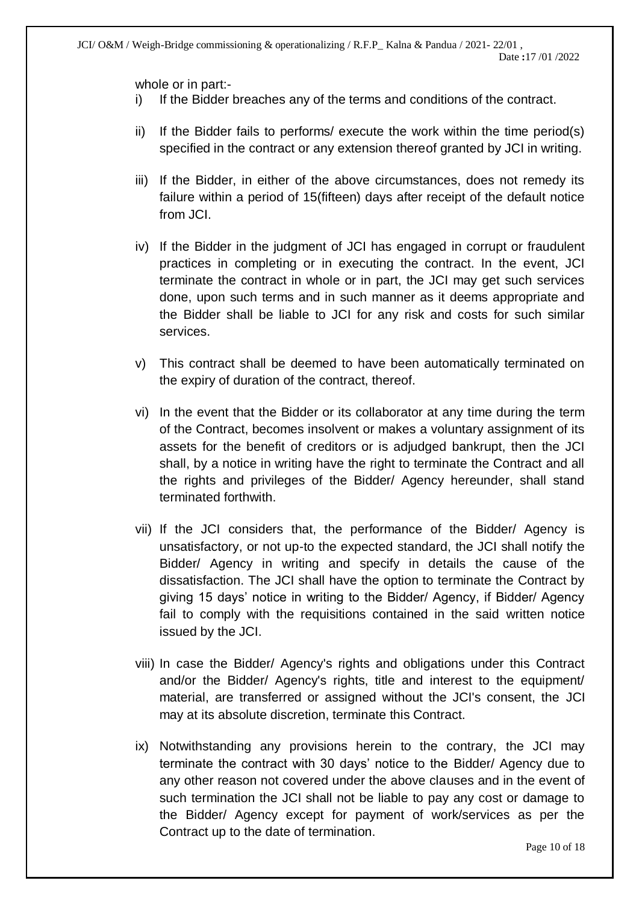whole or in part:-

- i) If the Bidder breaches any of the terms and conditions of the contract.
- ii) If the Bidder fails to performs/ execute the work within the time period(s) specified in the contract or any extension thereof granted by JCI in writing.
- iii) If the Bidder, in either of the above circumstances, does not remedy its failure within a period of 15(fifteen) days after receipt of the default notice from JCI.
- iv) If the Bidder in the judgment of JCI has engaged in corrupt or fraudulent practices in completing or in executing the contract. In the event, JCI terminate the contract in whole or in part, the JCI may get such services done, upon such terms and in such manner as it deems appropriate and the Bidder shall be liable to JCI for any risk and costs for such similar services.
- v) This contract shall be deemed to have been automatically terminated on the expiry of duration of the contract, thereof.
- vi) In the event that the Bidder or its collaborator at any time during the term of the Contract, becomes insolvent or makes a voluntary assignment of its assets for the benefit of creditors or is adjudged bankrupt, then the JCI shall, by a notice in writing have the right to terminate the Contract and all the rights and privileges of the Bidder/ Agency hereunder, shall stand terminated forthwith.
- vii) If the JCI considers that, the performance of the Bidder/ Agency is unsatisfactory, or not up-to the expected standard, the JCI shall notify the Bidder/ Agency in writing and specify in details the cause of the dissatisfaction. The JCI shall have the option to terminate the Contract by giving 15 days' notice in writing to the Bidder/ Agency, if Bidder/ Agency fail to comply with the requisitions contained in the said written notice issued by the JCI.
- viii) In case the Bidder/ Agency's rights and obligations under this Contract and/or the Bidder/ Agency's rights, title and interest to the equipment/ material, are transferred or assigned without the JCI's consent, the JCI may at its absolute discretion, terminate this Contract.
- ix) Notwithstanding any provisions herein to the contrary, the JCI may terminate the contract with 30 days' notice to the Bidder/ Agency due to any other reason not covered under the above clauses and in the event of such termination the JCI shall not be liable to pay any cost or damage to the Bidder/ Agency except for payment of work/services as per the Contract up to the date of termination.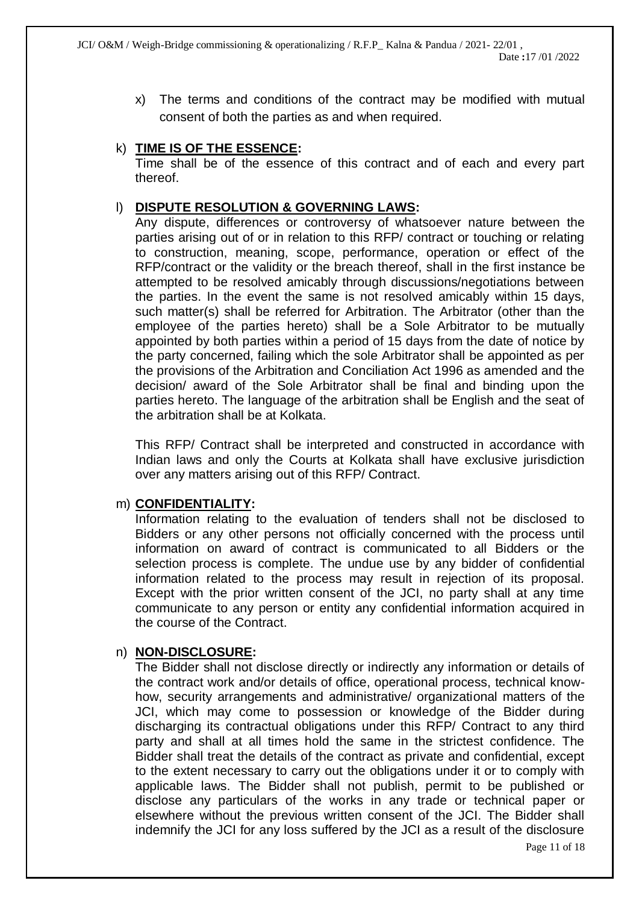x) The terms and conditions of the contract may be modified with mutual consent of both the parties as and when required.

#### k) **TIME IS OF THE ESSENCE:**

Time shall be of the essence of this contract and of each and every part thereof.

#### l) **DISPUTE RESOLUTION & GOVERNING LAWS:**

Any dispute, differences or controversy of whatsoever nature between the parties arising out of or in relation to this RFP/ contract or touching or relating to construction, meaning, scope, performance, operation or effect of the RFP/contract or the validity or the breach thereof, shall in the first instance be attempted to be resolved amicably through discussions/negotiations between the parties. In the event the same is not resolved amicably within 15 days, such matter(s) shall be referred for Arbitration. The Arbitrator (other than the employee of the parties hereto) shall be a Sole Arbitrator to be mutually appointed by both parties within a period of 15 days from the date of notice by the party concerned, failing which the sole Arbitrator shall be appointed as per the provisions of the Arbitration and Conciliation Act 1996 as amended and the decision/ award of the Sole Arbitrator shall be final and binding upon the parties hereto. The language of the arbitration shall be English and the seat of the arbitration shall be at Kolkata.

This RFP/ Contract shall be interpreted and constructed in accordance with Indian laws and only the Courts at Kolkata shall have exclusive jurisdiction over any matters arising out of this RFP/ Contract.

#### m) **CONFIDENTIALITY:**

Information relating to the evaluation of tenders shall not be disclosed to Bidders or any other persons not officially concerned with the process until information on award of contract is communicated to all Bidders or the selection process is complete. The undue use by any bidder of confidential information related to the process may result in rejection of its proposal. Except with the prior written consent of the JCI, no party shall at any time communicate to any person or entity any confidential information acquired in the course of the Contract.

#### n) **NON-DISCLOSURE:**

The Bidder shall not disclose directly or indirectly any information or details of the contract work and/or details of office, operational process, technical knowhow, security arrangements and administrative/ organizational matters of the JCI, which may come to possession or knowledge of the Bidder during discharging its contractual obligations under this RFP/ Contract to any third party and shall at all times hold the same in the strictest confidence. The Bidder shall treat the details of the contract as private and confidential, except to the extent necessary to carry out the obligations under it or to comply with applicable laws. The Bidder shall not publish, permit to be published or disclose any particulars of the works in any trade or technical paper or elsewhere without the previous written consent of the JCI. The Bidder shall indemnify the JCI for any loss suffered by the JCI as a result of the disclosure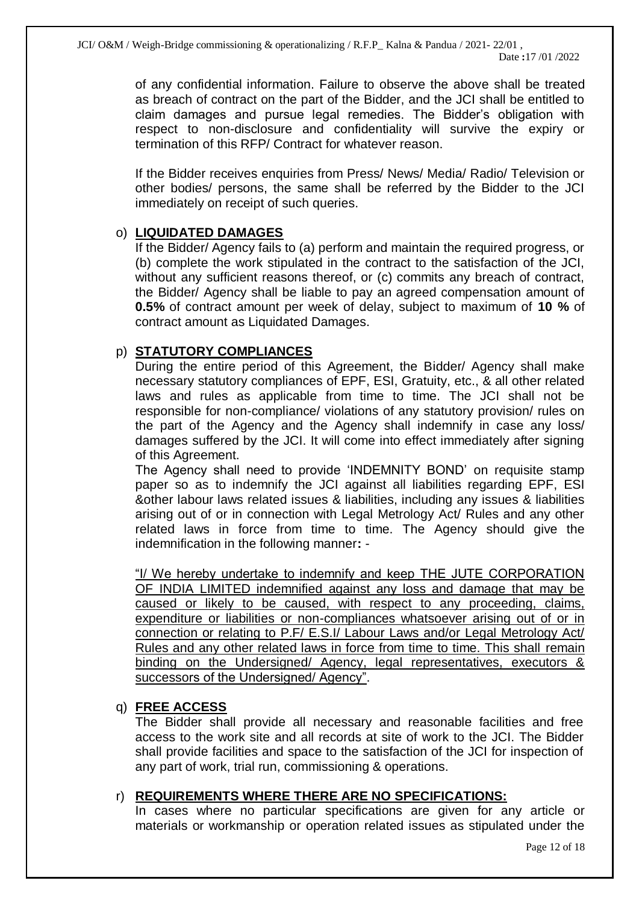of any confidential information. Failure to observe the above shall be treated as breach of contract on the part of the Bidder, and the JCI shall be entitled to claim damages and pursue legal remedies. The Bidder's obligation with respect to non-disclosure and confidentiality will survive the expiry or termination of this RFP/ Contract for whatever reason.

If the Bidder receives enquiries from Press/ News/ Media/ Radio/ Television or other bodies/ persons, the same shall be referred by the Bidder to the JCI immediately on receipt of such queries.

# o) **LIQUIDATED DAMAGES**

If the Bidder/ Agency fails to (a) perform and maintain the required progress, or (b) complete the work stipulated in the contract to the satisfaction of the JCI, without any sufficient reasons thereof, or (c) commits any breach of contract, the Bidder/ Agency shall be liable to pay an agreed compensation amount of **0.5%** of contract amount per week of delay, subject to maximum of **10 %** of contract amount as Liquidated Damages.

#### p) **STATUTORY COMPLIANCES**

During the entire period of this Agreement, the Bidder/ Agency shall make necessary statutory compliances of EPF, ESI, Gratuity, etc., & all other related laws and rules as applicable from time to time. The JCI shall not be responsible for non-compliance/ violations of any statutory provision/ rules on the part of the Agency and the Agency shall indemnify in case any loss/ damages suffered by the JCI. It will come into effect immediately after signing of this Agreement.

The Agency shall need to provide 'INDEMNITY BOND' on requisite stamp paper so as to indemnify the JCI against all liabilities regarding EPF, ESI &other labour laws related issues & liabilities, including any issues & liabilities arising out of or in connection with Legal Metrology Act/ Rules and any other related laws in force from time to time. The Agency should give the indemnification in the following manner**:** -

"I/ We hereby undertake to indemnify and keep THE JUTE CORPORATION OF INDIA LIMITED indemnified against any loss and damage that may be caused or likely to be caused, with respect to any proceeding, claims, expenditure or liabilities or non-compliances whatsoever arising out of or in connection or relating to P.F/ E.S.I/ Labour Laws and/or Legal Metrology Act/ Rules and any other related laws in force from time to time. This shall remain binding on the Undersigned/ Agency, legal representatives, executors & successors of the Undersigned/ Agency".

#### q) **FREE ACCESS**

The Bidder shall provide all necessary and reasonable facilities and free access to the work site and all records at site of work to the JCI. The Bidder shall provide facilities and space to the satisfaction of the JCI for inspection of any part of work, trial run, commissioning & operations.

# r) **REQUIREMENTS WHERE THERE ARE NO SPECIFICATIONS:**

In cases where no particular specifications are given for any article or materials or workmanship or operation related issues as stipulated under the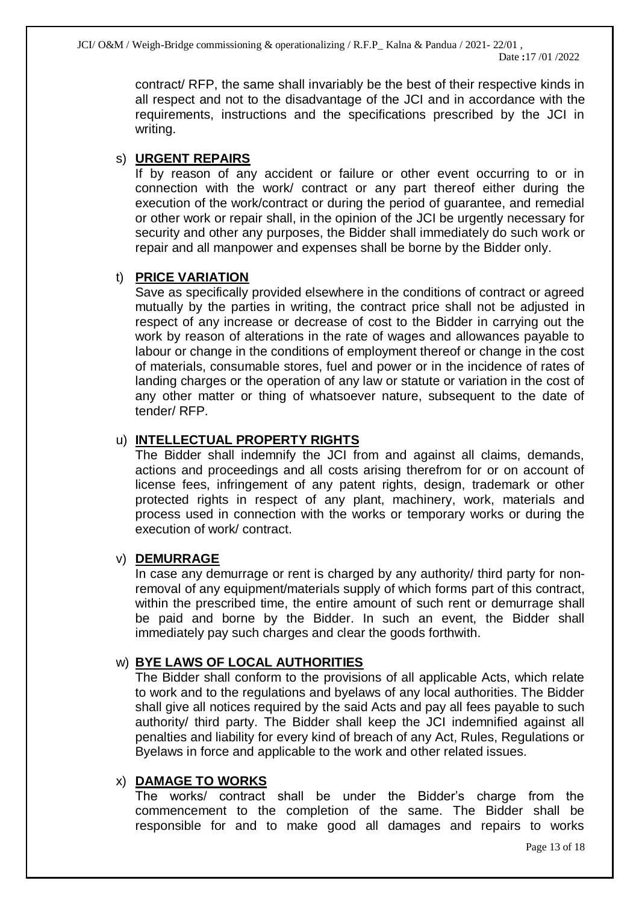contract/ RFP, the same shall invariably be the best of their respective kinds in all respect and not to the disadvantage of the JCI and in accordance with the requirements, instructions and the specifications prescribed by the JCI in writing.

# s) **URGENT REPAIRS**

If by reason of any accident or failure or other event occurring to or in connection with the work/ contract or any part thereof either during the execution of the work/contract or during the period of guarantee, and remedial or other work or repair shall, in the opinion of the JCI be urgently necessary for security and other any purposes, the Bidder shall immediately do such work or repair and all manpower and expenses shall be borne by the Bidder only.

# t) **PRICE VARIATION**

Save as specifically provided elsewhere in the conditions of contract or agreed mutually by the parties in writing, the contract price shall not be adjusted in respect of any increase or decrease of cost to the Bidder in carrying out the work by reason of alterations in the rate of wages and allowances payable to labour or change in the conditions of employment thereof or change in the cost of materials, consumable stores, fuel and power or in the incidence of rates of landing charges or the operation of any law or statute or variation in the cost of any other matter or thing of whatsoever nature, subsequent to the date of tender/ RFP.

# u) **INTELLECTUAL PROPERTY RIGHTS**

The Bidder shall indemnify the JCI from and against all claims, demands, actions and proceedings and all costs arising therefrom for or on account of license fees, infringement of any patent rights, design, trademark or other protected rights in respect of any plant, machinery, work, materials and process used in connection with the works or temporary works or during the execution of work/ contract.

# v) **DEMURRAGE**

In case any demurrage or rent is charged by any authority/ third party for nonremoval of any equipment/materials supply of which forms part of this contract, within the prescribed time, the entire amount of such rent or demurrage shall be paid and borne by the Bidder. In such an event, the Bidder shall immediately pay such charges and clear the goods forthwith.

# w) **BYE LAWS OF LOCAL AUTHORITIES**

The Bidder shall conform to the provisions of all applicable Acts, which relate to work and to the regulations and byelaws of any local authorities. The Bidder shall give all notices required by the said Acts and pay all fees payable to such authority/ third party. The Bidder shall keep the JCI indemnified against all penalties and liability for every kind of breach of any Act, Rules, Regulations or Byelaws in force and applicable to the work and other related issues.

# x) **DAMAGE TO WORKS**

The works/ contract shall be under the Bidder's charge from the commencement to the completion of the same. The Bidder shall be responsible for and to make good all damages and repairs to works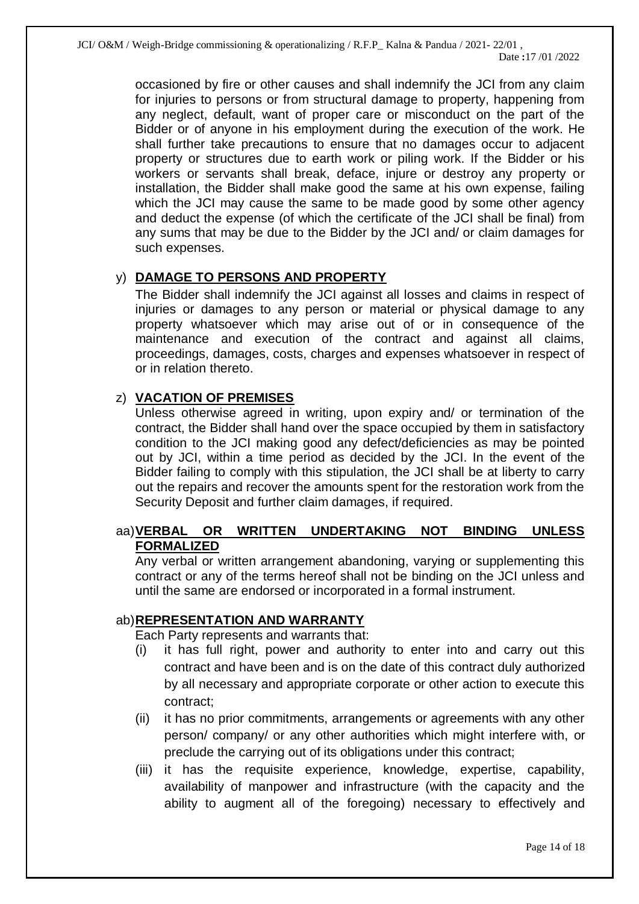occasioned by fire or other causes and shall indemnify the JCI from any claim for injuries to persons or from structural damage to property, happening from any neglect, default, want of proper care or misconduct on the part of the Bidder or of anyone in his employment during the execution of the work. He shall further take precautions to ensure that no damages occur to adjacent property or structures due to earth work or piling work. If the Bidder or his workers or servants shall break, deface, injure or destroy any property or installation, the Bidder shall make good the same at his own expense, failing which the JCI may cause the same to be made good by some other agency and deduct the expense (of which the certificate of the JCI shall be final) from any sums that may be due to the Bidder by the JCI and/ or claim damages for such expenses.

# y) **DAMAGE TO PERSONS AND PROPERTY**

The Bidder shall indemnify the JCI against all losses and claims in respect of injuries or damages to any person or material or physical damage to any property whatsoever which may arise out of or in consequence of the maintenance and execution of the contract and against all claims, proceedings, damages, costs, charges and expenses whatsoever in respect of or in relation thereto.

# z) **VACATION OF PREMISES**

Unless otherwise agreed in writing, upon expiry and/ or termination of the contract, the Bidder shall hand over the space occupied by them in satisfactory condition to the JCI making good any defect/deficiencies as may be pointed out by JCI, within a time period as decided by the JCI. In the event of the Bidder failing to comply with this stipulation, the JCI shall be at liberty to carry out the repairs and recover the amounts spent for the restoration work from the Security Deposit and further claim damages, if required.

# aa)**VERBAL OR WRITTEN UNDERTAKING NOT BINDING UNLESS FORMALIZED**

Any verbal or written arrangement abandoning, varying or supplementing this contract or any of the terms hereof shall not be binding on the JCI unless and until the same are endorsed or incorporated in a formal instrument.

# ab)**REPRESENTATION AND WARRANTY**

Each Party represents and warrants that:

- (i) it has full right, power and authority to enter into and carry out this contract and have been and is on the date of this contract duly authorized by all necessary and appropriate corporate or other action to execute this contract;
- (ii) it has no prior commitments, arrangements or agreements with any other person/ company/ or any other authorities which might interfere with, or preclude the carrying out of its obligations under this contract;
- (iii) it has the requisite experience, knowledge, expertise, capability, availability of manpower and infrastructure (with the capacity and the ability to augment all of the foregoing) necessary to effectively and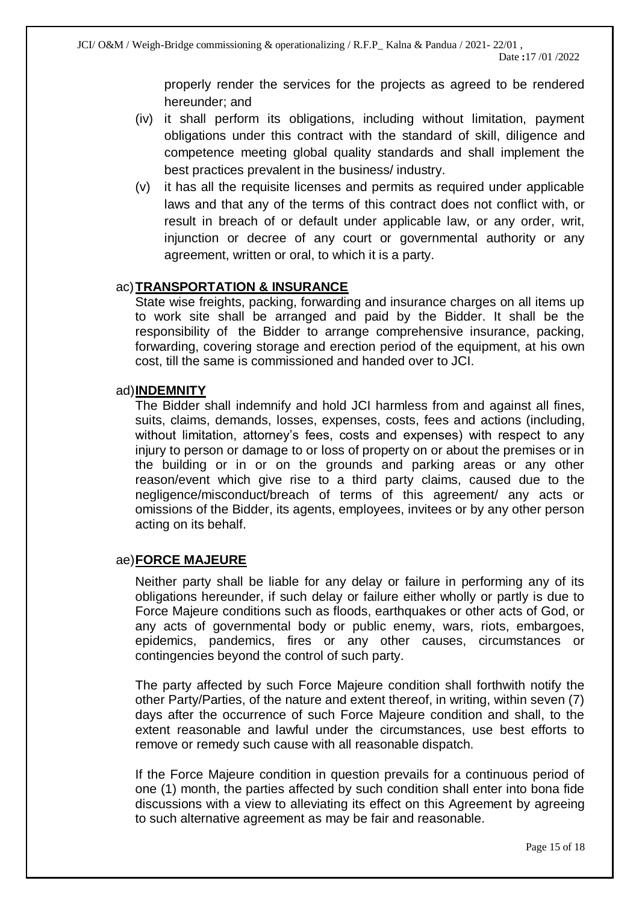properly render the services for the projects as agreed to be rendered hereunder; and

- (iv) it shall perform its obligations, including without limitation, payment obligations under this contract with the standard of skill, diligence and competence meeting global quality standards and shall implement the best practices prevalent in the business/ industry.
- (v) it has all the requisite licenses and permits as required under applicable laws and that any of the terms of this contract does not conflict with, or result in breach of or default under applicable law, or any order, writ, injunction or decree of any court or governmental authority or any agreement, written or oral, to which it is a party.

#### ac)**TRANSPORTATION & INSURANCE**

State wise freights, packing, forwarding and insurance charges on all items up to work site shall be arranged and paid by the Bidder. It shall be the responsibility of the Bidder to arrange comprehensive insurance, packing, forwarding, covering storage and erection period of the equipment, at his own cost, till the same is commissioned and handed over to JCI.

#### ad)**INDEMNITY**

The Bidder shall indemnify and hold JCI harmless from and against all fines, suits, claims, demands, losses, expenses, costs, fees and actions (including, without limitation, attorney's fees, costs and expenses) with respect to any injury to person or damage to or loss of property on or about the premises or in the building or in or on the grounds and parking areas or any other reason/event which give rise to a third party claims, caused due to the negligence/misconduct/breach of terms of this agreement/ any acts or omissions of the Bidder, its agents, employees, invitees or by any other person acting on its behalf.

# ae)**FORCE MAJEURE**

Neither party shall be liable for any delay or failure in performing any of its obligations hereunder, if such delay or failure either wholly or partly is due to Force Majeure conditions such as floods, earthquakes or other acts of God, or any acts of governmental body or public enemy, wars, riots, embargoes, epidemics, pandemics, fires or any other causes, circumstances or contingencies beyond the control of such party.

The party affected by such Force Majeure condition shall forthwith notify the other Party/Parties, of the nature and extent thereof, in writing, within seven (7) days after the occurrence of such Force Majeure condition and shall, to the extent reasonable and lawful under the circumstances, use best efforts to remove or remedy such cause with all reasonable dispatch.

If the Force Majeure condition in question prevails for a continuous period of one (1) month, the parties affected by such condition shall enter into bona fide discussions with a view to alleviating its effect on this Agreement by agreeing to such alternative agreement as may be fair and reasonable.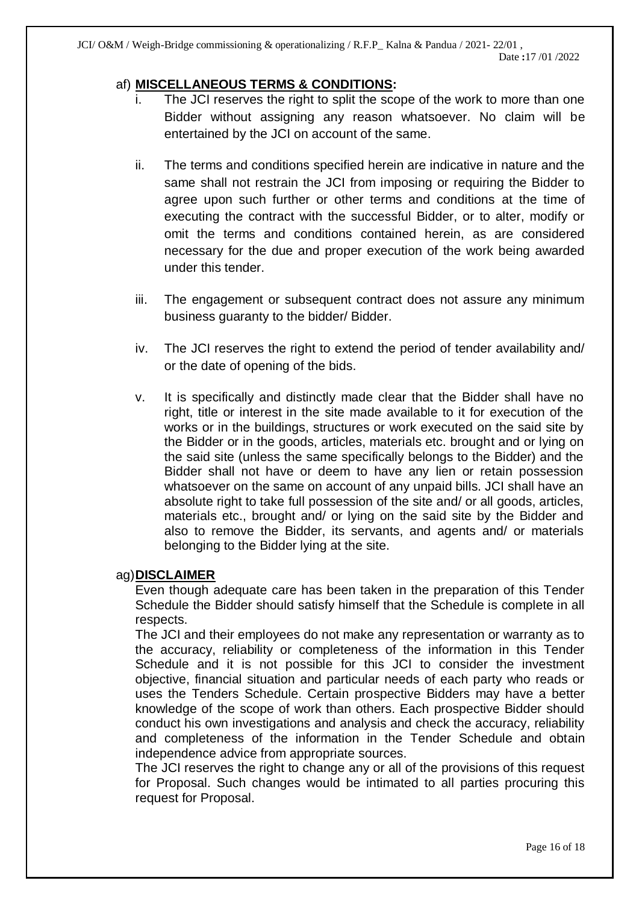# af) **MISCELLANEOUS TERMS & CONDITIONS:**

- i. The JCI reserves the right to split the scope of the work to more than one Bidder without assigning any reason whatsoever. No claim will be entertained by the JCI on account of the same.
- ii. The terms and conditions specified herein are indicative in nature and the same shall not restrain the JCI from imposing or requiring the Bidder to agree upon such further or other terms and conditions at the time of executing the contract with the successful Bidder, or to alter, modify or omit the terms and conditions contained herein, as are considered necessary for the due and proper execution of the work being awarded under this tender.
- iii. The engagement or subsequent contract does not assure any minimum business guaranty to the bidder/ Bidder.
- iv. The JCI reserves the right to extend the period of tender availability and/ or the date of opening of the bids.
- v. It is specifically and distinctly made clear that the Bidder shall have no right, title or interest in the site made available to it for execution of the works or in the buildings, structures or work executed on the said site by the Bidder or in the goods, articles, materials etc. brought and or lying on the said site (unless the same specifically belongs to the Bidder) and the Bidder shall not have or deem to have any lien or retain possession whatsoever on the same on account of any unpaid bills. JCI shall have an absolute right to take full possession of the site and/ or all goods, articles, materials etc., brought and/ or lying on the said site by the Bidder and also to remove the Bidder, its servants, and agents and/ or materials belonging to the Bidder lying at the site.

# ag)**DISCLAIMER**

Even though adequate care has been taken in the preparation of this Tender Schedule the Bidder should satisfy himself that the Schedule is complete in all respects.

The JCI and their employees do not make any representation or warranty as to the accuracy, reliability or completeness of the information in this Tender Schedule and it is not possible for this JCI to consider the investment objective, financial situation and particular needs of each party who reads or uses the Tenders Schedule. Certain prospective Bidders may have a better knowledge of the scope of work than others. Each prospective Bidder should conduct his own investigations and analysis and check the accuracy, reliability and completeness of the information in the Tender Schedule and obtain independence advice from appropriate sources.

The JCI reserves the right to change any or all of the provisions of this request for Proposal. Such changes would be intimated to all parties procuring this request for Proposal.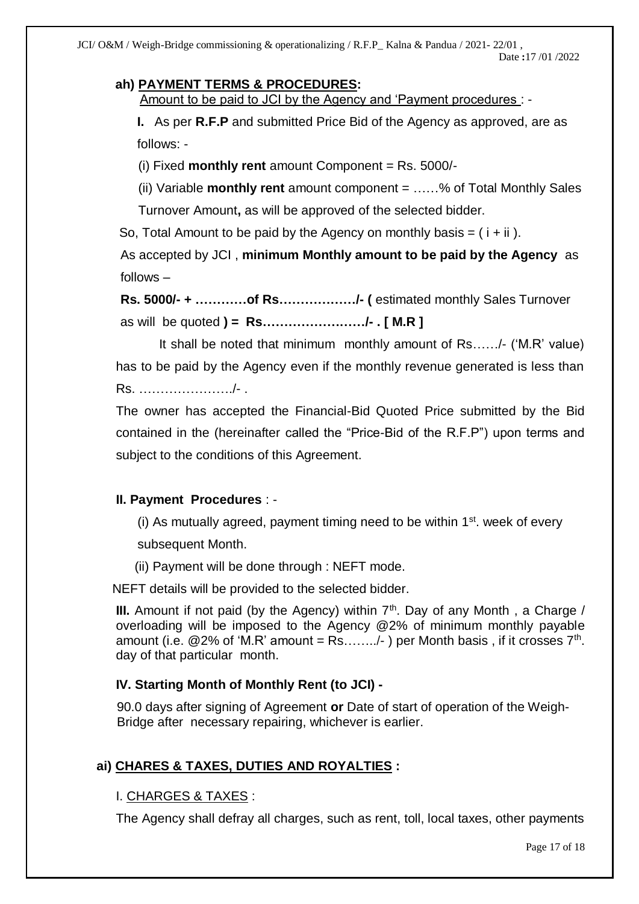# **ah) PAYMENT TERMS & PROCEDURES:**

Amount to be paid to JCI by the Agency and 'Payment procedures : -

**I.** As per **R.F.P** and submitted Price Bid of the Agency as approved, are as follows: -

(i) Fixed **monthly rent** amount Component = Rs. 5000/-

(ii) Variable **monthly rent** amount component = ……% of Total Monthly Sales

Turnover Amount**,** as will be approved of the selected bidder.

So, Total Amount to be paid by the Agency on monthly basis  $= (i + ii)$ .

 As accepted by JCI , **minimum Monthly amount to be paid by the Agency** as follows –

 **Rs. 5000/- + …………of Rs………………/- (** estimated monthly Sales Turnover as will be quoted **) = Rs……………………/- . [ M.R ]** 

It shall be noted that minimum monthly amount of Rs……/- ('M.R' value) has to be paid by the Agency even if the monthly revenue generated is less than Rs. …………………./- .

The owner has accepted the Financial-Bid Quoted Price submitted by the Bid contained in the (hereinafter called the "Price-Bid of the R.F.P") upon terms and subject to the conditions of this Agreement.

# **II. Payment Procedures** : -

(i) As mutually agreed, payment timing need to be within  $1<sup>st</sup>$ . week of every

subsequent Month.

(ii) Payment will be done through : NEFT mode.

NEFT details will be provided to the selected bidder.

**III.** Amount if not paid (by the Agency) within  $7<sup>th</sup>$ . Day of any Month, a Charge / overloading will be imposed to the Agency @2% of minimum monthly payable amount (i.e.  $@2\%$  of 'M.R' amount = Rs......../- ) per Month basis, if it crosses  $7<sup>th</sup>$ . day of that particular month.

# **IV. Starting Month of Monthly Rent (to JCI) -**

 90.0 days after signing of Agreement **or** Date of start of operation of the Weigh- Bridge after necessary repairing, whichever is earlier.

# **ai) CHARES & TAXES, DUTIES AND ROYALTIES :**

# I. CHARGES & TAXES :

The Agency shall defray all charges, such as rent, toll, local taxes, other payments